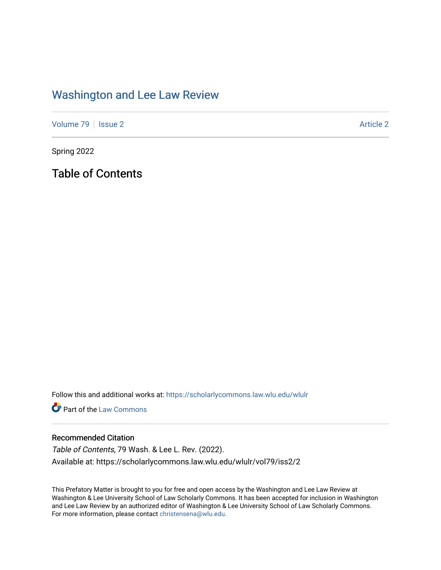## [Washington and Lee Law Review](https://scholarlycommons.law.wlu.edu/wlulr)

[Volume 79](https://scholarlycommons.law.wlu.edu/wlulr/vol79) | [Issue 2](https://scholarlycommons.law.wlu.edu/wlulr/vol79/iss2) Article 2

Spring 2022

Table of Contents

Follow this and additional works at: [https://scholarlycommons.law.wlu.edu/wlulr](https://scholarlycommons.law.wlu.edu/wlulr?utm_source=scholarlycommons.law.wlu.edu%2Fwlulr%2Fvol79%2Fiss2%2F2&utm_medium=PDF&utm_campaign=PDFCoverPages) 

**Part of the [Law Commons](http://network.bepress.com/hgg/discipline/578?utm_source=scholarlycommons.law.wlu.edu%2Fwlulr%2Fvol79%2Fiss2%2F2&utm_medium=PDF&utm_campaign=PDFCoverPages)** 

## Recommended Citation

Table of Contents, 79 Wash. & Lee L. Rev. (2022). Available at: https://scholarlycommons.law.wlu.edu/wlulr/vol79/iss2/2

This Prefatory Matter is brought to you for free and open access by the Washington and Lee Law Review at Washington & Lee University School of Law Scholarly Commons. It has been accepted for inclusion in Washington and Lee Law Review by an authorized editor of Washington & Lee University School of Law Scholarly Commons. For more information, please contact [christensena@wlu.edu](mailto:christensena@wlu.edu).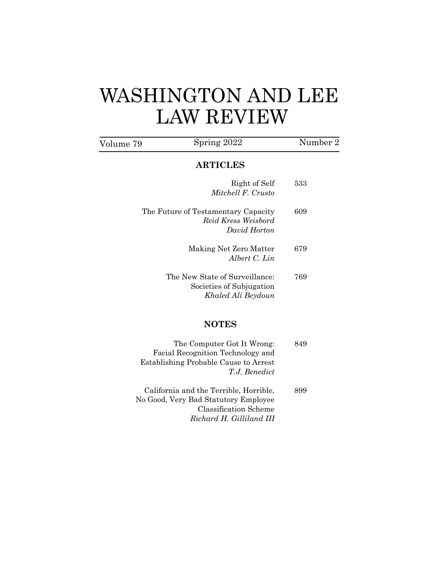## WASHINGTON AND LEE LAW REVIEW

| Volume 79 | Spring 2022                                                                      | Number 2 |
|-----------|----------------------------------------------------------------------------------|----------|
|           | <b>ARTICLES</b>                                                                  |          |
|           | Right of Self<br>Mitchell F. Crusto                                              | 533      |
|           | The Future of Testamentary Capacity<br>Reid Kress Weisbord<br>David Horton       | 609      |
|           | Making Net Zero Matter<br>Albert C. Lin                                          | 679      |
|           | The New State of Surveillance:<br>Societies of Subjugation<br>Khaled Ali Beydoun | 769      |
|           | <b>NOTES</b>                                                                     |          |
|           | The Computer Got It Wrong:<br>$\cdot$ $\cdot$ $\cdot$                            | 849      |

- Facial Recognition Technology and Establishing Probable Cause to Arrest *T.J. Benedict*  California and the Terrible, Horrible, 899 No Good, Very Bad Statutory Employee
- Classification Scheme *Richard H. Gilliland III*